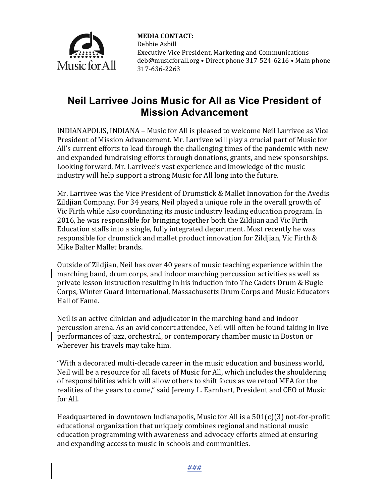

**MEDIA CONTACT:** Debbie Asbill Executive Vice President, Marketing and Communications deb@musicforall.org • Direct phone 317-524-6216 • Main phone 317-636-2263

## **Neil Larrivee Joins Music for All as Vice President of Mission Advancement**

INDIANAPOLIS, INDIANA – Music for All is pleased to welcome Neil Larrivee as Vice President of Mission Advancement. Mr. Larrivee will play a crucial part of Music for All's current efforts to lead through the challenging times of the pandemic with new and expanded fundraising efforts through donations, grants, and new sponsorships. Looking forward, Mr. Larrivee's vast experience and knowledge of the music industry will help support a strong Music for All long into the future.

Mr. Larrivee was the Vice President of Drumstick & Mallet Innovation for the Avedis Zildjian Company. For 34 years, Neil played a unique role in the overall growth of Vic Firth while also coordinating its music industry leading education program. In 2016, he was responsible for bringing together both the Zildjian and Vic Firth Education staffs into a single, fully integrated department. Most recently he was responsible for drumstick and mallet product innovation for Zildjian, Vic Firth  $\&$ Mike Balter Mallet brands.

Outside of Zildiian, Neil has over 40 years of music teaching experience within the marching band, drum corps, and indoor marching percussion activities as well as private lesson instruction resulting in his induction into The Cadets Drum & Bugle Corps, Winter Guard International, Massachusetts Drum Corps and Music Educators Hall of Fame.

Neil is an active clinician and adjudicator in the marching band and indoor percussion arena. As an avid concert attendee, Neil will often be found taking in live performances of jazz, orchestral, or contemporary chamber music in Boston or wherever his travels may take him.

"With a decorated multi-decade career in the music education and business world, Neil will be a resource for all facets of Music for All, which includes the shouldering of responsibilities which will allow others to shift focus as we retool MFA for the realities of the years to come," said Jeremy L. Earnhart, President and CEO of Music for All.

Headquartered in downtown Indianapolis, Music for All is a  $501(c)(3)$  not-for-profit educational organization that uniquely combines regional and national music education programming with awareness and advocacy efforts aimed at ensuring and expanding access to music in schools and communities.